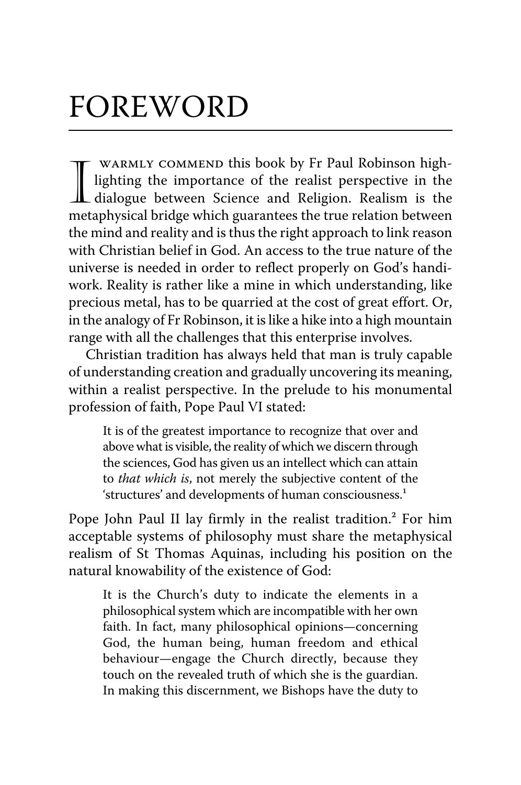## FOREWORD

WARMLY COMMEND this book by Fr Paul Robinson high-<br>lighting the importance of the realist perspective in the<br>dialogue between Science and Religion. Realism is the WARMLY COMMEND this book by Fr Paul Robinson highlighting the importance of the realist perspective in the metaphysical bridge which guarantees the true relation between the mind and reality and is thus the right approach to link reason with Christian belief in God. An access to the true nature of the universe is needed in order to reflect properly on God's handiwork. Reality is rather like a mine in which understanding, like precious metal, has to be quarried at the cost of great effort. Or, in the analogy of Fr Robinson, it is like a hike into a high mountain range with all the challenges that this enterprise involves.

Christian tradition has always held that man is truly capable of understanding creation and gradually uncovering its meaning, within a realist perspective. In the prelude to his monumental profession of faith, Pope Paul VI stated:

It is of the greatest importance to recognize that over and above what is visible, the reality of which we discern through the sciences, God has given us an intellect which can attain to *that which is*, not merely the subjective content of the 'structures' and developments of human consciousness.<sup>1</sup>

Pope John Paul II lay firmly in the realist tradition.² For him acceptable systems of philosophy must share the metaphysical realism of St Thomas Aquinas, including his position on the natural knowability of the existence of God:

It is the Church's duty to indicate the elements in a philosophical system which are incompatible with her own faith. In fact, many philosophical opinions—concerning God, the human being, human freedom and ethical behaviour—engage the Church directly, because they touch on the revealed truth of which she is the guardian. In making this discernment, we Bishops have the duty to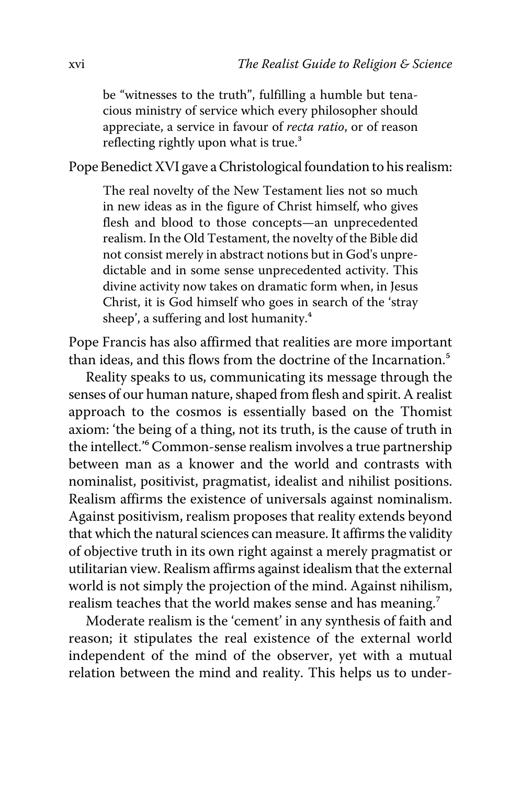be "witnesses to the truth", fulfilling a humble but tenacious ministry of service which every philosopher should appreciate, a service in favour of *recta ratio*, or of reason reflecting rightly upon what is true.<sup>3</sup>

Pope Benedict XVI gave a Christological foundation to his realism:

The real novelty of the New Testament lies not so much in new ideas as in the figure of Christ himself, who gives flesh and blood to those concepts—an unprecedented realism. In the Old Testament, the novelty of the Bible did not consist merely in abstract notions but in God's unpredictable and in some sense unprecedented activity. This divine activity now takes on dramatic form when, in Jesus Christ, it is God himself who goes in search of the 'stray sheep', a suffering and lost humanity.<sup>4</sup>

Pope Francis has also affirmed that realities are more important than ideas, and this flows from the doctrine of the Incarnation.<sup>5</sup>

Reality speaks to us, communicating its message through the senses of our human nature, shaped from flesh and spirit. A realist approach to the cosmos is essentially based on the Thomist axiom: 'the being of a thing, not its truth, is the cause of truth in the intellect.<sup>'6</sup> Common-sense realism involves a true partnership between man as a knower and the world and contrasts with nominalist, positivist, pragmatist, idealist and nihilist positions. Realism affirms the existence of universals against nominalism. Against positivism, realism proposes that reality extends beyond that which the natural sciences can measure. It affirms the validity of objective truth in its own right against a merely pragmatist or utilitarian view. Realism affirms against idealism that the external world is not simply the projection of the mind. Against nihilism, realism teaches that the world makes sense and has meaning.<sup>7</sup>

Moderate realism is the 'cement' in any synthesis of faith and reason; it stipulates the real existence of the external world independent of the mind of the observer, yet with a mutual relation between the mind and reality. This helps us to under-